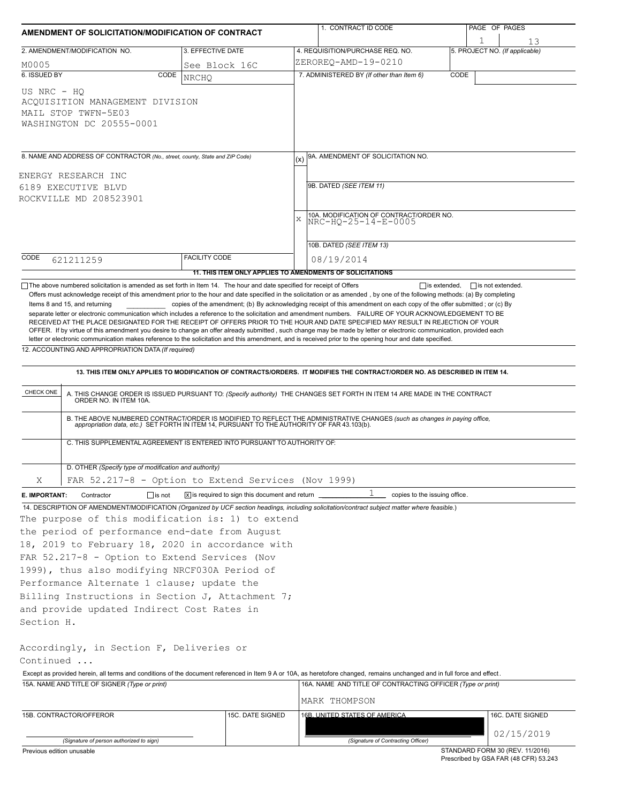| AMENDMENT OF SOLICITATION/MODIFICATION OF CONTRACT                                                                                                                                                                                                                                                                                                                                                                                                                                                                        |                                                        |                                                                            |                         | 1. CONTRACT ID CODE                                                                                                                                                                                                      |      | PAGE OF PAGES |                                |  |  |  |
|---------------------------------------------------------------------------------------------------------------------------------------------------------------------------------------------------------------------------------------------------------------------------------------------------------------------------------------------------------------------------------------------------------------------------------------------------------------------------------------------------------------------------|--------------------------------------------------------|----------------------------------------------------------------------------|-------------------------|--------------------------------------------------------------------------------------------------------------------------------------------------------------------------------------------------------------------------|------|---------------|--------------------------------|--|--|--|
| 2. AMENDMENT/MODIFICATION NO.                                                                                                                                                                                                                                                                                                                                                                                                                                                                                             | 3. EFFECTIVE DATE                                      |                                                                            |                         | 4. REQUISITION/PURCHASE REQ. NO.                                                                                                                                                                                         |      |               | 13                             |  |  |  |
|                                                                                                                                                                                                                                                                                                                                                                                                                                                                                                                           | 5. PROJECT NO. (If applicable)<br> ZEROREO-AMD-19-0210 |                                                                            |                         |                                                                                                                                                                                                                          |      |               |                                |  |  |  |
| M0005<br>6. ISSUED BY<br>CODE                                                                                                                                                                                                                                                                                                                                                                                                                                                                                             | See Block 16C<br><b>NRCHO</b>                          |                                                                            |                         | 7. ADMINISTERED BY (If other than Item 6)                                                                                                                                                                                | CODE |               |                                |  |  |  |
| US NRC - HQ<br>ACQUISITION MANAGEMENT DIVISION<br>MAIL STOP TWFN-5E03<br>WASHINGTON DC 20555-0001                                                                                                                                                                                                                                                                                                                                                                                                                         |                                                        |                                                                            |                         |                                                                                                                                                                                                                          |      |               |                                |  |  |  |
| 8. NAME AND ADDRESS OF CONTRACTOR (No., street, county, State and ZIP Code)                                                                                                                                                                                                                                                                                                                                                                                                                                               |                                                        |                                                                            | (x)                     | 9A. AMENDMENT OF SOLICITATION NO.                                                                                                                                                                                        |      |               |                                |  |  |  |
|                                                                                                                                                                                                                                                                                                                                                                                                                                                                                                                           |                                                        |                                                                            |                         |                                                                                                                                                                                                                          |      |               |                                |  |  |  |
| ENERGY RESEARCH INC<br>6189 EXECUTIVE BLVD                                                                                                                                                                                                                                                                                                                                                                                                                                                                                |                                                        |                                                                            | 9B. DATED (SEE ITEM 11) |                                                                                                                                                                                                                          |      |               |                                |  |  |  |
| ROCKVILLE MD 208523901                                                                                                                                                                                                                                                                                                                                                                                                                                                                                                    |                                                        |                                                                            |                         |                                                                                                                                                                                                                          |      |               |                                |  |  |  |
|                                                                                                                                                                                                                                                                                                                                                                                                                                                                                                                           |                                                        |                                                                            |                         |                                                                                                                                                                                                                          |      |               |                                |  |  |  |
|                                                                                                                                                                                                                                                                                                                                                                                                                                                                                                                           |                                                        |                                                                            | X                       | 10A. MODIFICATION OF CONTRACT/ORDER NO.<br>NRC-HO-25-14-E-0005                                                                                                                                                           |      |               |                                |  |  |  |
|                                                                                                                                                                                                                                                                                                                                                                                                                                                                                                                           |                                                        |                                                                            |                         | 10B. DATED (SEE ITEM 13)                                                                                                                                                                                                 |      |               |                                |  |  |  |
| CODE<br>621211259                                                                                                                                                                                                                                                                                                                                                                                                                                                                                                         | <b>FACILITY CODE</b>                                   |                                                                            |                         | 08/19/2014                                                                                                                                                                                                               |      |               |                                |  |  |  |
|                                                                                                                                                                                                                                                                                                                                                                                                                                                                                                                           |                                                        |                                                                            |                         | 11. THIS ITEM ONLY APPLIES TO AMENDMENTS OF SOLICITATIONS                                                                                                                                                                |      |               |                                |  |  |  |
| RECEIVED AT THE PLACE DESIGNATED FOR THE RECEIPT OF OFFERS PRIOR TO THE HOUR AND DATE SPECIFIED MAY RESULT IN REJECTION OF YOUR<br>OFFER. If by virtue of this amendment you desire to change an offer already submitted, such change may be made by letter or electronic communication, provided each<br>letter or electronic communication makes reference to the solicitation and this amendment, and is received prior to the opening hour and date specified.<br>12. ACCOUNTING AND APPROPRIATION DATA (If required) |                                                        |                                                                            |                         |                                                                                                                                                                                                                          |      |               |                                |  |  |  |
|                                                                                                                                                                                                                                                                                                                                                                                                                                                                                                                           |                                                        |                                                                            |                         | 13. THIS ITEM ONLY APPLIES TO MODIFICATION OF CONTRACTS/ORDERS. IT MODIFIES THE CONTRACT/ORDER NO. AS DESCRIBED IN ITEM 14.                                                                                              |      |               |                                |  |  |  |
| CHECK ONE<br>A. THIS CHANGE ORDER IS ISSUED PURSUANT TO: (Specify authority) THE CHANGES SET FORTH IN ITEM 14 ARE MADE IN THE CONTRACT<br>ORDER NO. IN ITEM 10A.                                                                                                                                                                                                                                                                                                                                                          |                                                        |                                                                            |                         |                                                                                                                                                                                                                          |      |               |                                |  |  |  |
| C. THIS SUPPLEMENTAL AGREEMENT IS ENTERED INTO PURSUANT TO AUTHORITY OF:                                                                                                                                                                                                                                                                                                                                                                                                                                                  |                                                        |                                                                            |                         | B. THE ABOVE NUMBERED CONTRACT/ORDER IS MODIFIED TO REFLECT THE ADMINISTRATIVE CHANGES (such as changes in paying office,<br>appropriation data, etc.) SET FORTH IN ITEM 14, PURSUANT TO THE AUTHORITY OF FAR 43.103(b). |      |               |                                |  |  |  |
|                                                                                                                                                                                                                                                                                                                                                                                                                                                                                                                           |                                                        |                                                                            |                         |                                                                                                                                                                                                                          |      |               |                                |  |  |  |
| D. OTHER (Specify type of modification and authority)                                                                                                                                                                                                                                                                                                                                                                                                                                                                     |                                                        |                                                                            |                         |                                                                                                                                                                                                                          |      |               |                                |  |  |  |
| FAR 52.217-8 - Option to Extend Services (Nov 1999)<br>Χ                                                                                                                                                                                                                                                                                                                                                                                                                                                                  |                                                        |                                                                            |                         | $\perp$                                                                                                                                                                                                                  |      |               |                                |  |  |  |
| $\Box$ is not<br>E. IMPORTANT:<br>Contractor<br>14. DESCRIPTION OF AMENDMENT/MODIFICATION (Organized by UCF section headings, including solicitation/contract subject matter where feasible.)                                                                                                                                                                                                                                                                                                                             |                                                        | $\overline{X}$ is required to sign this document and return $\overline{X}$ |                         | copies to the issuing office.                                                                                                                                                                                            |      |               |                                |  |  |  |
| The purpose of this modification is: 1) to extend                                                                                                                                                                                                                                                                                                                                                                                                                                                                         |                                                        |                                                                            |                         |                                                                                                                                                                                                                          |      |               |                                |  |  |  |
| the period of performance end-date from August                                                                                                                                                                                                                                                                                                                                                                                                                                                                            |                                                        |                                                                            |                         |                                                                                                                                                                                                                          |      |               |                                |  |  |  |
| 18, 2019 to February 18, 2020 in accordance with                                                                                                                                                                                                                                                                                                                                                                                                                                                                          |                                                        |                                                                            |                         |                                                                                                                                                                                                                          |      |               |                                |  |  |  |
|                                                                                                                                                                                                                                                                                                                                                                                                                                                                                                                           |                                                        |                                                                            |                         |                                                                                                                                                                                                                          |      |               |                                |  |  |  |
| FAR 52.217-8 - Option to Extend Services (Nov                                                                                                                                                                                                                                                                                                                                                                                                                                                                             |                                                        |                                                                            |                         |                                                                                                                                                                                                                          |      |               |                                |  |  |  |
| 1999), thus also modifying NRCF030A Period of<br>Performance Alternate 1 clause; update the                                                                                                                                                                                                                                                                                                                                                                                                                               |                                                        |                                                                            |                         |                                                                                                                                                                                                                          |      |               |                                |  |  |  |
| Billing Instructions in Section J, Attachment 7;                                                                                                                                                                                                                                                                                                                                                                                                                                                                          |                                                        |                                                                            |                         |                                                                                                                                                                                                                          |      |               |                                |  |  |  |
| and provide updated Indirect Cost Rates in                                                                                                                                                                                                                                                                                                                                                                                                                                                                                |                                                        |                                                                            |                         |                                                                                                                                                                                                                          |      |               |                                |  |  |  |
| Section H.                                                                                                                                                                                                                                                                                                                                                                                                                                                                                                                |                                                        |                                                                            |                         |                                                                                                                                                                                                                          |      |               |                                |  |  |  |
|                                                                                                                                                                                                                                                                                                                                                                                                                                                                                                                           |                                                        |                                                                            |                         |                                                                                                                                                                                                                          |      |               |                                |  |  |  |
| Accordingly, in Section F, Deliveries or<br>Continued                                                                                                                                                                                                                                                                                                                                                                                                                                                                     |                                                        |                                                                            |                         |                                                                                                                                                                                                                          |      |               |                                |  |  |  |
| Except as provided herein, all terms and conditions of the document referenced in Item 9 A or 10A, as heretofore changed, remains unchanged and in full force and effect.                                                                                                                                                                                                                                                                                                                                                 |                                                        |                                                                            |                         |                                                                                                                                                                                                                          |      |               |                                |  |  |  |
| 15A. NAME AND TITLE OF SIGNER (Type or print)                                                                                                                                                                                                                                                                                                                                                                                                                                                                             |                                                        |                                                                            |                         | 16A. NAME AND TITLE OF CONTRACTING OFFICER (Type or print)                                                                                                                                                               |      |               |                                |  |  |  |
|                                                                                                                                                                                                                                                                                                                                                                                                                                                                                                                           |                                                        |                                                                            |                         | MARK THOMPSON                                                                                                                                                                                                            |      |               |                                |  |  |  |
| 15B. CONTRACTOR/OFFEROR                                                                                                                                                                                                                                                                                                                                                                                                                                                                                                   |                                                        | 15C. DATE SIGNED                                                           |                         | 16B. UNITED STATES OF AMERICA                                                                                                                                                                                            |      |               | 16C. DATE SIGNED<br>02/15/2019 |  |  |  |
| (Signature of person authorized to sign)                                                                                                                                                                                                                                                                                                                                                                                                                                                                                  |                                                        |                                                                            |                         | (Signature of Contracting Officer)                                                                                                                                                                                       |      |               |                                |  |  |  |

Previous edition unusable

STANDARD FORM 30 (REV. 11/2016) Prescribed by GSA FAR (48 CFR) 53.243